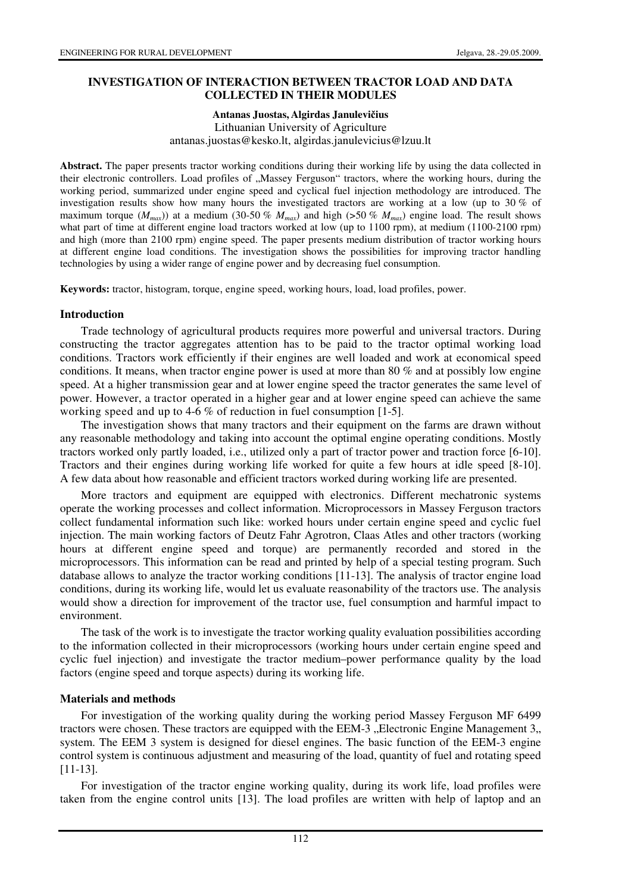## **INVESTIGATION OF INTERACTION BETWEEN TRACTOR LOAD AND DATA COLLECTED IN THEIR MODULES**

**Antanas Juostas, Algirdas Janulevi**č**ius** 

 Lithuanian University of Agriculture antanas.juostas@kesko.lt, algirdas.janulevicius@lzuu.lt

**Abstract.** The paper presents tractor working conditions during their working life by using the data collected in their electronic controllers. Load profiles of "Massey Ferguson" tractors, where the working hours, during the working period, summarized under engine speed and cyclical fuel injection methodology are introduced. The investigation results show how many hours the investigated tractors are working at a low (up to 30 % of maximum torque ( $M_{max}$ )) at a medium (30-50 %  $M_{max}$ ) and high (>50 %  $M_{max}$ ) engine load. The result shows what part of time at different engine load tractors worked at low (up to 1100 rpm), at medium (1100-2100 rpm) and high (more than 2100 rpm) engine speed. The paper presents medium distribution of tractor working hours at different engine load conditions. The investigation shows the possibilities for improving tractor handling technologies by using a wider range of engine power and by decreasing fuel consumption.

**Keywords:** tractor, histogram, torque, engine speed, working hours, load, load profiles, power.

## **Introduction**

Trade technology of agricultural products requires more powerful and universal tractors. During constructing the tractor aggregates attention has to be paid to the tractor optimal working load conditions. Tractors work efficiently if their engines are well loaded and work at economical speed conditions. It means, when tractor engine power is used at more than 80 % and at possibly low engine speed. At a higher transmission gear and at lower engine speed the tractor generates the same level of power. However, a tractor operated in a higher gear and at lower engine speed can achieve the same working speed and up to 4-6 % of reduction in fuel consumption [1-5].

The investigation shows that many tractors and their equipment on the farms are drawn without any reasonable methodology and taking into account the optimal engine operating conditions. Mostly tractors worked only partly loaded, i.e., utilized only a part of tractor power and traction force [6-10]. Tractors and their engines during working life worked for quite a few hours at idle speed [8-10]. A few data about how reasonable and efficient tractors worked during working life are presented.

More tractors and equipment are equipped with electronics. Different mechatronic systems operate the working processes and collect information. Microprocessors in Massey Ferguson tractors collect fundamental information such like: worked hours under certain engine speed and cyclic fuel injection. The main working factors of Deutz Fahr Agrotron, Claas Atles and other tractors (working hours at different engine speed and torque) are permanently recorded and stored in the microprocessors. This information can be read and printed by help of a special testing program. Such database allows to analyze the tractor working conditions [11-13]. The analysis of tractor engine load conditions, during its working life, would let us evaluate reasonability of the tractors use. The analysis would show a direction for improvement of the tractor use, fuel consumption and harmful impact to environment.

The task of the work is to investigate the tractor working quality evaluation possibilities according to the information collected in their microprocessors (working hours under certain engine speed and cyclic fuel injection) and investigate the tractor medium–power performance quality by the load factors (engine speed and torque aspects) during its working life.

## **Materials and methods**

For investigation of the working quality during the working period Massey Ferguson MF 6499 tractors were chosen. These tractors are equipped with the EEM-3  $\mathcal{F}$ . Electronic Engine Management 3. system. The EEM 3 system is designed for diesel engines. The basic function of the EEM-3 engine control system is continuous adjustment and measuring of the load, quantity of fuel and rotating speed [11-13].

For investigation of the tractor engine working quality, during its work life, load profiles were taken from the engine control units [13]. The load profiles are written with help of laptop and an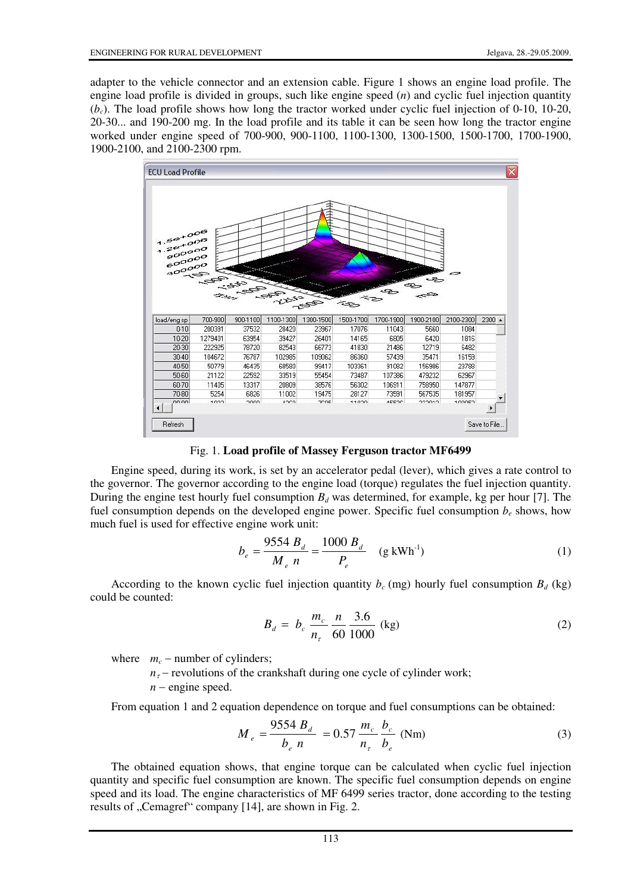adapter to the vehicle connector and an extension cable. Figure 1 shows an engine load profile. The engine load profile is divided in groups, such like engine speed (*n*) and cyclic fuel injection quantity (*bc*). The load profile shows how long the tractor worked under cyclic fuel injection of 0-10, 10-20, 20-30... and 190-200 mg. In the load profile and its table it can be seen how long the tractor engine worked under engine speed of 700-900, 900-1100, 1100-1300, 1300-1500, 1500-1700, 1700-1900, 1900-2100, and 2100-2300 rpm.



Fig. 1. **Load profile of Massey Ferguson tractor MF6499**

Engine speed, during its work, is set by an accelerator pedal (lever), which gives a rate control to the governor. The governor according to the engine load (torque) regulates the fuel injection quantity. During the engine test hourly fuel consumption  $B_d$  was determined, for example, kg per hour [7]. The fuel consumption depends on the developed engine power. Specific fuel consumption  $b_e$  shows, how much fuel is used for effective engine work unit:

$$
b_e = \frac{9554 B_d}{M_e n} = \frac{1000 B_d}{P_e} \quad (g \text{ kWh}^{-1})
$$
 (1)

According to the known cyclic fuel injection quantity  $b_c$  (mg) hourly fuel consumption  $B_d$  (kg) could be counted:

$$
B_d = b_c \frac{m_c}{n_\tau} \frac{n}{60} \frac{3.6}{1000} \text{ (kg)}\tag{2}
$$

where  $m_c$  – number of cylinders;

 $n<sub>\tau</sub>$  − revolutions of the crankshaft during one cycle of cylinder work;

*n* − engine speed.

From equation 1 and 2 equation dependence on torque and fuel consumptions can be obtained:

$$
M_e = \frac{9554 B_d}{b_e n} = 0.57 \frac{m_c}{n_\tau} \frac{b_c}{b_e} \text{ (Nm)}
$$
 (3)

The obtained equation shows, that engine torque can be calculated when cyclic fuel injection quantity and specific fuel consumption are known. The specific fuel consumption depends on engine speed and its load. The engine characteristics of MF 6499 series tractor, done according to the testing results of "Cemagref" company [14], are shown in Fig. 2.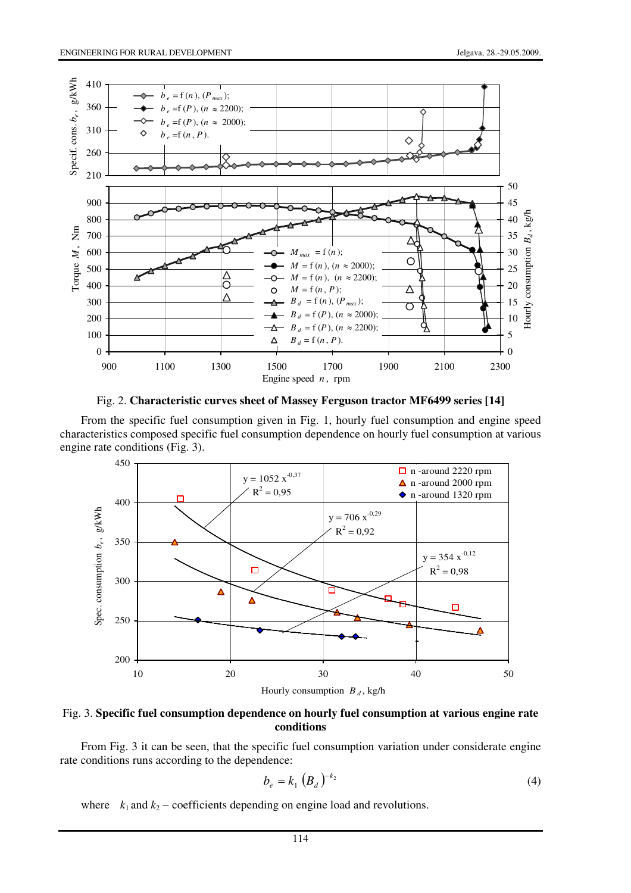

Fig. 2. **Characteristic curves sheet of Massey Ferguson tractor MF6499 series [14]**

From the specific fuel consumption given in Fig. 1, hourly fuel consumption and engine speed characteristics composed specific fuel consumption dependence on hourly fuel consumption at various engine rate conditions (Fig. 3).



Fig. 3. **Specific fuel consumption dependence on hourly fuel consumption at various engine rate conditions**

From Fig. 3 it can be seen, that the specific fuel consumption variation under considerate engine rate conditions runs according to the dependence:

$$
b_e = k_1 \left( B_d \right)^{-k_2} \tag{4}
$$

where  $k_1$  and  $k_2$  – coefficients depending on engine load and revolutions.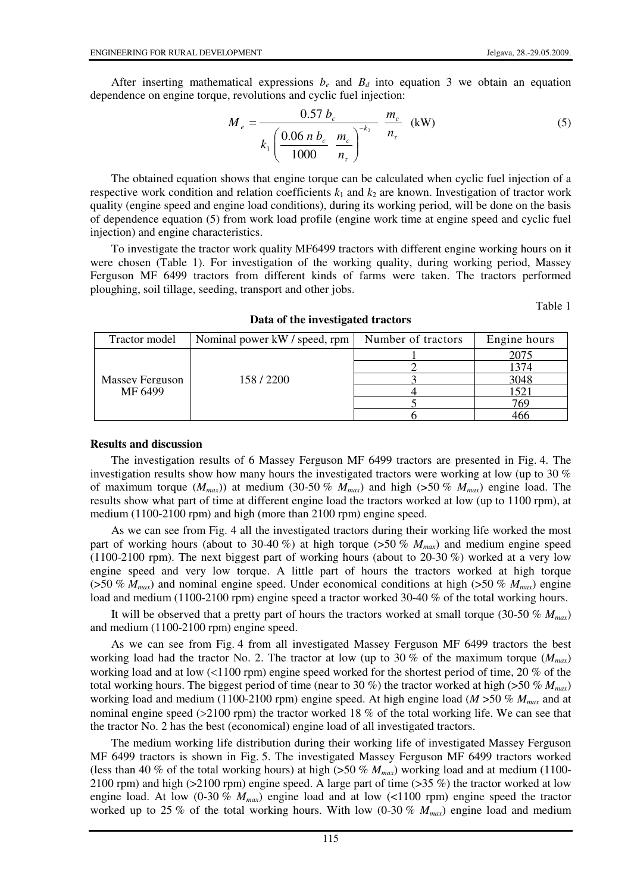After inserting mathematical expressions  $b_e$  and  $B_d$  into equation 3 we obtain an equation dependence on engine torque, revolutions and cyclic fuel injection:

$$
M_e = \frac{0.57 b_c}{k_1 \left(\frac{0.06 n b_c}{1000} \frac{m_c}{n_\tau}\right)^{-k_2}} \frac{m_c}{n_\tau} \text{ (kW)}
$$
(5)

The obtained equation shows that engine torque can be calculated when cyclic fuel injection of a respective work condition and relation coefficients  $k_1$  and  $k_2$  are known. Investigation of tractor work quality (engine speed and engine load conditions), during its working period, will be done on the basis of dependence equation (5) from work load profile (engine work time at engine speed and cyclic fuel injection) and engine characteristics.

To investigate the tractor work quality MF6499 tractors with different engine working hours on it were chosen (Table 1). For investigation of the working quality, during working period, Massey Ferguson MF 6499 tractors from different kinds of farms were taken. The tractors performed ploughing, soil tillage, seeding, transport and other jobs.

Table 1

| Tractor model              | Nominal power kW / speed, rpm | Number of tractors | Engine hours |
|----------------------------|-------------------------------|--------------------|--------------|
| Massey Ferguson<br>MF 6499 | 158/2200                      |                    | 2075         |
|                            |                               |                    | 1374         |
|                            |                               |                    | 3048         |
|                            |                               |                    | 1521         |
|                            |                               |                    | 769          |
|                            |                               |                    |              |

**Data of the investigated tractors** 

#### **Results and discussion**

The investigation results of 6 Massey Ferguson MF 6499 tractors are presented in Fig. 4. The investigation results show how many hours the investigated tractors were working at low (up to 30 % of maximum torque  $(M_{max})$ ) at medium (30-50 %  $M_{max}$ ) and high (>50 %  $M_{max}$ ) engine load. The results show what part of time at different engine load the tractors worked at low (up to 1100 rpm), at medium (1100-2100 rpm) and high (more than 2100 rpm) engine speed.

As we can see from Fig. 4 all the investigated tractors during their working life worked the most part of working hours (about to 30-40 %) at high torque ( $>50\%$   $M_{max}$ ) and medium engine speed (1100-2100 rpm). The next biggest part of working hours (about to 20-30 %) worked at a very low engine speed and very low torque. A little part of hours the tractors worked at high torque (>50 % *Mmax*) and nominal engine speed. Under economical conditions at high (>50 % *Mmax*) engine load and medium (1100-2100 rpm) engine speed a tractor worked 30-40 % of the total working hours.

It will be observed that a pretty part of hours the tractors worked at small torque (30-50 % *Mmax*) and medium (1100-2100 rpm) engine speed.

As we can see from Fig. 4 from all investigated Massey Ferguson MF 6499 tractors the best working load had the tractor No. 2. The tractor at low (up to 30 % of the maximum torque (*Mmax*) working load and at low (<1100 rpm) engine speed worked for the shortest period of time, 20 % of the total working hours. The biggest period of time (near to 30 %) the tractor worked at high (>50 % *Mmax*) working load and medium (1100-2100 rpm) engine speed. At high engine load (*M* >50 % *Mmax* and at nominal engine speed (>2100 rpm) the tractor worked 18 % of the total working life. We can see that the tractor No. 2 has the best (economical) engine load of all investigated tractors.

The medium working life distribution during their working life of investigated Massey Ferguson MF 6499 tractors is shown in Fig. 5. The investigated Massey Ferguson MF 6499 tractors worked (less than 40 % of the total working hours) at high (>50 % *Mmax*) working load and at medium (1100- 2100 rpm) and high (>2100 rpm) engine speed. A large part of time (>35 %) the tractor worked at low engine load. At low (0-30 % *Mmax*) engine load and at low (<1100 rpm) engine speed the tractor worked up to 25 % of the total working hours. With low (0-30 % *Mmax*) engine load and medium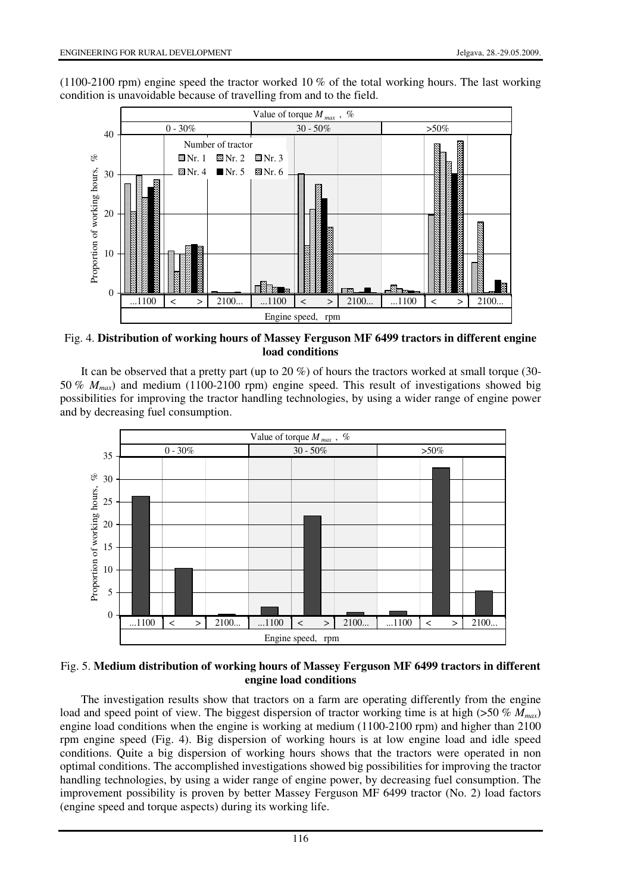(1100-2100 rpm) engine speed the tractor worked 10 % of the total working hours. The last working condition is unavoidable because of travelling from and to the field.



Fig. 4. **Distribution of working hours of Massey Ferguson MF 6499 tractors in different engine load conditions**

It can be observed that a pretty part (up to 20 %) of hours the tractors worked at small torque (30- 50 % *Mmax*) and medium (1100-2100 rpm) engine speed. This result of investigations showed big possibilities for improving the tractor handling technologies, by using a wider range of engine power and by decreasing fuel consumption.



## Fig. 5. **Medium distribution of working hours of Massey Ferguson MF 6499 tractors in different engine load conditions**

The investigation results show that tractors on a farm are operating differently from the engine load and speed point of view. The biggest dispersion of tractor working time is at high (>50 % *Mmax*) engine load conditions when the engine is working at medium (1100-2100 rpm) and higher than 2100 rpm engine speed (Fig. 4). Big dispersion of working hours is at low engine load and idle speed conditions. Quite a big dispersion of working hours shows that the tractors were operated in non optimal conditions. The accomplished investigations showed big possibilities for improving the tractor handling technologies, by using a wider range of engine power, by decreasing fuel consumption. The improvement possibility is proven by better Massey Ferguson MF 6499 tractor (No. 2) load factors (engine speed and torque aspects) during its working life.